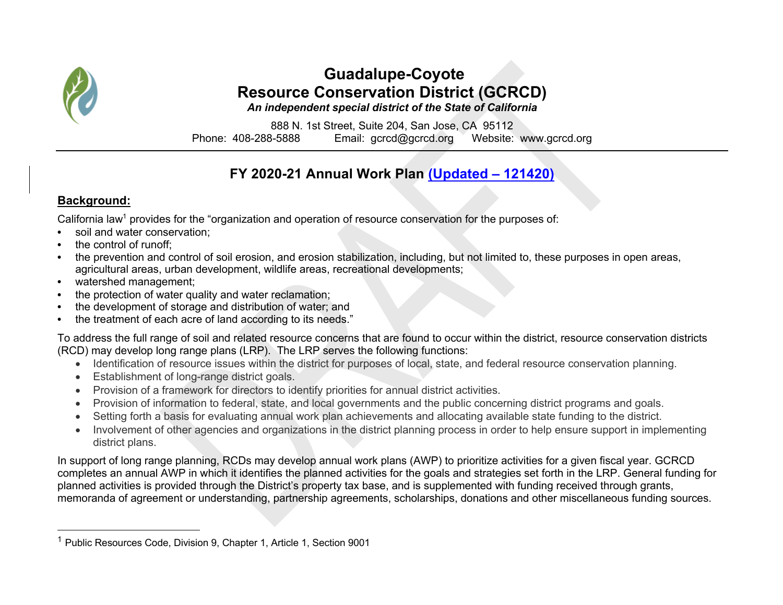

# **Guadalupe-Coyote Resource Conservation District (GCRCD)**

*An independent special district of the State of California*

888 N. 1st Street, Suite 204, San Jose, CA 95112 Phone: 408-288-5888 Email: gcrcd@gcrcd.org Website: www.gcrcd.org

## **FY 2020-21 Annual Work Plan (Updated – 121420)**

#### **Background:**

California law<sup>1</sup> provides for the "organization and operation of resource conservation for the purposes of:

- soil and water conservation:
- the control of runoff:
- the prevention and control of soil erosion, and erosion stabilization, including, but not limited to, these purposes in open areas, agricultural areas, urban development, wildlife areas, recreational developments;
- watershed management;
- the protection of water quality and water reclamation;
- the development of storage and distribution of water; and
- the treatment of each acre of land according to its needs."

To address the full range of soil and related resource concerns that are found to occur within the district, resource conservation districts (RCD) may develop long range plans (LRP). The LRP serves the following functions:

- Identification of resource issues within the district for purposes of local, state, and federal resource conservation planning.
- Establishment of long-range district goals.
- Provision of a framework for directors to identify priorities for annual district activities.
- Provision of information to federal, state, and local governments and the public concerning district programs and goals.
- Setting forth a basis for evaluating annual work plan achievements and allocating available state funding to the district.
- Involvement of other agencies and organizations in the district planning process in order to help ensure support in implementing district plans.

In support of long range planning, RCDs may develop annual work plans (AWP) to prioritize activities for a given fiscal year. GCRCD completes an annual AWP in which it identifies the planned activities for the goals and strategies set forth in the LRP. General funding for planned activities is provided through the District's property tax base, and is supplemented with funding received through grants, memoranda of agreement or understanding, partnership agreements, scholarships, donations and other miscellaneous funding sources.

<sup>1</sup> Public Resources Code, Division 9, Chapter 1, Article 1, Section 9001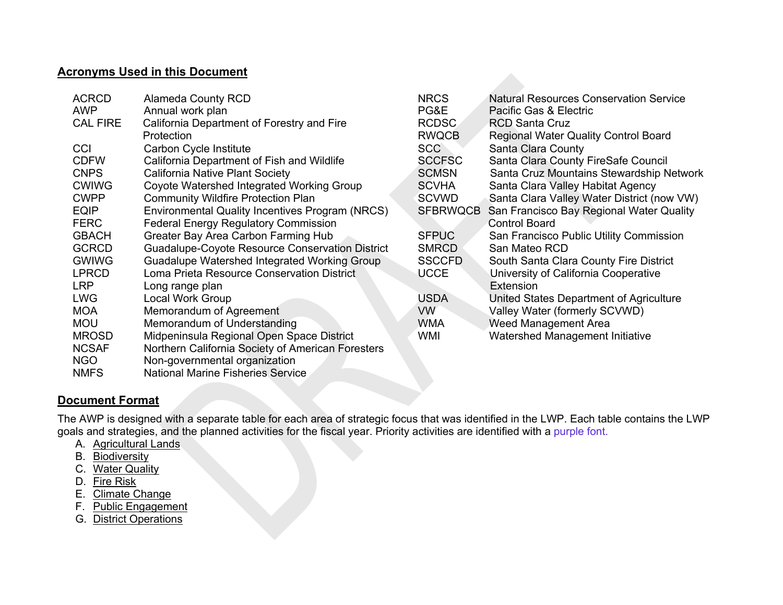#### **Acronyms Used in this Document**

| <b>ACRCD</b>    | <b>Alameda County RCD</b>                              | <b>NRCS</b>     | <b>Natural Resources Conservation Service</b> |
|-----------------|--------------------------------------------------------|-----------------|-----------------------------------------------|
| <b>AWP</b>      | Annual work plan                                       | PG&E            | Pacific Gas & Electric                        |
| <b>CAL FIRE</b> | California Department of Forestry and Fire             | <b>RCDSC</b>    | <b>RCD Santa Cruz</b>                         |
|                 | Protection                                             | <b>RWQCB</b>    | <b>Regional Water Quality Control Board</b>   |
| CCI             | Carbon Cycle Institute                                 | <b>SCC</b>      | Santa Clara County                            |
| <b>CDFW</b>     | California Department of Fish and Wildlife             | <b>SCCFSC</b>   | Santa Clara County FireSafe Council           |
| <b>CNPS</b>     | California Native Plant Society                        | <b>SCMSN</b>    | Santa Cruz Mountains Stewardship Network      |
| <b>CWIWG</b>    | Coyote Watershed Integrated Working Group              | <b>SCVHA</b>    | Santa Clara Valley Habitat Agency             |
| <b>CWPP</b>     | <b>Community Wildfire Protection Plan</b>              | SCVWD           | Santa Clara Valley Water District (now VW)    |
| <b>EQIP</b>     | Environmental Quality Incentives Program (NRCS)        | <b>SFBRWQCB</b> | San Francisco Bay Regional Water Quality      |
| <b>FERC</b>     | <b>Federal Energy Regulatory Commission</b>            |                 | <b>Control Board</b>                          |
| <b>GBACH</b>    | Greater Bay Area Carbon Farming Hub                    | <b>SFPUC</b>    | San Francisco Public Utility Commission       |
| <b>GCRCD</b>    | <b>Guadalupe-Coyote Resource Conservation District</b> | <b>SMRCD</b>    | San Mateo RCD                                 |
| <b>GWIWG</b>    | Guadalupe Watershed Integrated Working Group           | <b>SSCCFD</b>   | South Santa Clara County Fire District        |
| <b>LPRCD</b>    | Loma Prieta Resource Conservation District             | <b>UCCE</b>     | University of California Cooperative          |
| <b>LRP</b>      | Long range plan                                        |                 | Extension                                     |
| <b>LWG</b>      | Local Work Group                                       | <b>USDA</b>     | United States Department of Agriculture       |
| <b>MOA</b>      | Memorandum of Agreement                                | <b>VW</b>       | Valley Water (formerly SCVWD)                 |
| <b>MOU</b>      | Memorandum of Understanding                            | <b>WMA</b>      | Weed Management Area                          |
| <b>MROSD</b>    | Midpeninsula Regional Open Space District              | WMI             | Watershed Management Initiative               |
| <b>NCSAF</b>    | Northern California Society of American Foresters      |                 |                                               |
| <b>NGO</b>      | Non-governmental organization                          |                 |                                               |

**Document Format**

NMFS National Marine Fisheries Service

The AWP is designed with a separate table for each area of strategic focus that was identified in the LWP. Each table contains the LWP goals and strategies, and the planned activities for the fiscal year. Priority activities are identified with a purple font.

- A. Agricultural Lands
- B. Biodiversity
- C. Water Quality
- D. Fire Risk
- E. Climate Change
- F. Public Engagement
- G. District Operations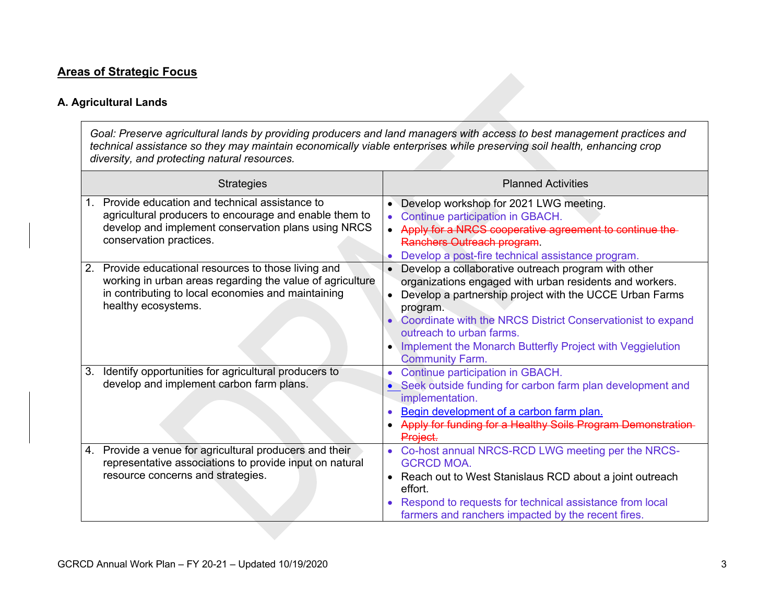#### **Areas of Strategic Focus**

#### **A. Agricultural Lands**

*Goal: Preserve agricultural lands by providing producers and land managers with access to best management practices and technical assistance so they may maintain economically viable enterprises while preserving soil health, enhancing crop diversity, and protecting natural resources.*

| <b>Strategies</b>                                                                                                                                                                                    | <b>Planned Activities</b>                                                                                                                                                                                                                                                                                                                                               |
|------------------------------------------------------------------------------------------------------------------------------------------------------------------------------------------------------|-------------------------------------------------------------------------------------------------------------------------------------------------------------------------------------------------------------------------------------------------------------------------------------------------------------------------------------------------------------------------|
| Provide education and technical assistance to<br>$1_{-}$<br>agricultural producers to encourage and enable them to<br>develop and implement conservation plans using NRCS<br>conservation practices. | • Develop workshop for 2021 LWG meeting.<br>Continue participation in GBACH.<br>Apply for a NRCS cooperative agreement to continue the<br>Ranchers Outreach program.<br>Develop a post-fire technical assistance program.                                                                                                                                               |
| Provide educational resources to those living and<br>2.<br>working in urban areas regarding the value of agriculture<br>in contributing to local economies and maintaining<br>healthy ecosystems.    | Develop a collaborative outreach program with other<br>organizations engaged with urban residents and workers.<br>Develop a partnership project with the UCCE Urban Farms<br>program.<br>Coordinate with the NRCS District Conservationist to expand<br>outreach to urban farms.<br>Implement the Monarch Butterfly Project with Veggielution<br><b>Community Farm.</b> |
| Identify opportunities for agricultural producers to<br>3.<br>develop and implement carbon farm plans.                                                                                               | Continue participation in GBACH.<br>• Seek outside funding for carbon farm plan development and<br>implementation.<br>Begin development of a carbon farm plan.<br>Apply for funding for a Healthy Soils Program Demonstration<br>Project.                                                                                                                               |
| 4. Provide a venue for agricultural producers and their<br>representative associations to provide input on natural<br>resource concerns and strategies.                                              | Co-host annual NRCS-RCD LWG meeting per the NRCS-<br><b>GCRCD MOA.</b><br>Reach out to West Stanislaus RCD about a joint outreach<br>$\bullet$<br>effort.<br>Respond to requests for technical assistance from local<br>farmers and ranchers impacted by the recent fires.                                                                                              |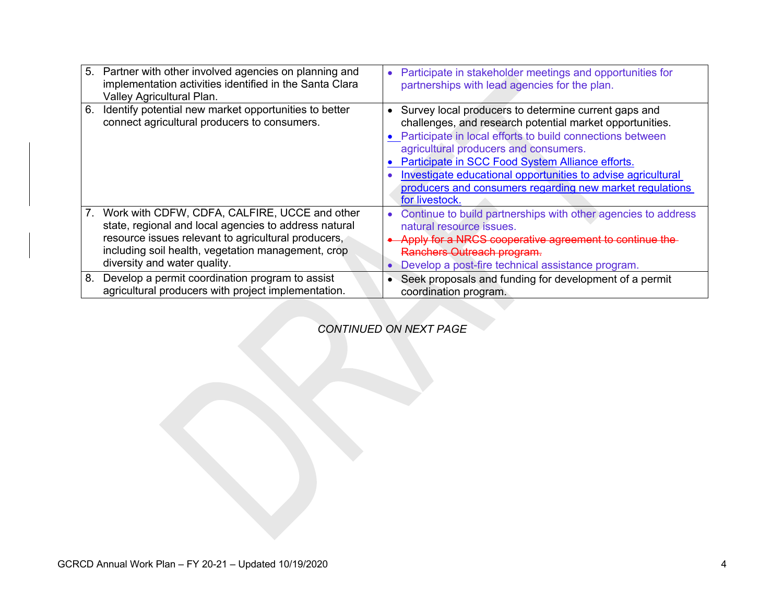| Valley Agricultural Plan.    | 5. Partner with other involved agencies on planning and<br>implementation activities identified in the Santa Clara | Participate in stakeholder meetings and opportunities for<br>partnerships with lead agencies for the plan.                                                                                                                                                                                                                                                                                                                   |
|------------------------------|--------------------------------------------------------------------------------------------------------------------|------------------------------------------------------------------------------------------------------------------------------------------------------------------------------------------------------------------------------------------------------------------------------------------------------------------------------------------------------------------------------------------------------------------------------|
| 6.                           | Identify potential new market opportunities to better<br>connect agricultural producers to consumers.              | • Survey local producers to determine current gaps and<br>challenges, and research potential market opportunities.<br>• Participate in local efforts to build connections between<br>agricultural producers and consumers.<br>Participate in SCC Food System Alliance efforts.<br>Investigate educational opportunities to advise agricultural<br>producers and consumers regarding new market regulations<br>for livestock. |
|                              | 7. Work with CDFW, CDFA, CALFIRE, UCCE and other<br>state, regional and local agencies to address natural          | Continue to build partnerships with other agencies to address<br>natural resource issues.                                                                                                                                                                                                                                                                                                                                    |
| diversity and water quality. | resource issues relevant to agricultural producers,<br>including soil health, vegetation management, crop          | Apply for a NRCS cooperative agreement to continue the<br>Ranchers Outreach program.<br>Develop a post-fire technical assistance program.                                                                                                                                                                                                                                                                                    |
| 8.                           | Develop a permit coordination program to assist<br>agricultural producers with project implementation.             | Seek proposals and funding for development of a permit<br>coordination program.                                                                                                                                                                                                                                                                                                                                              |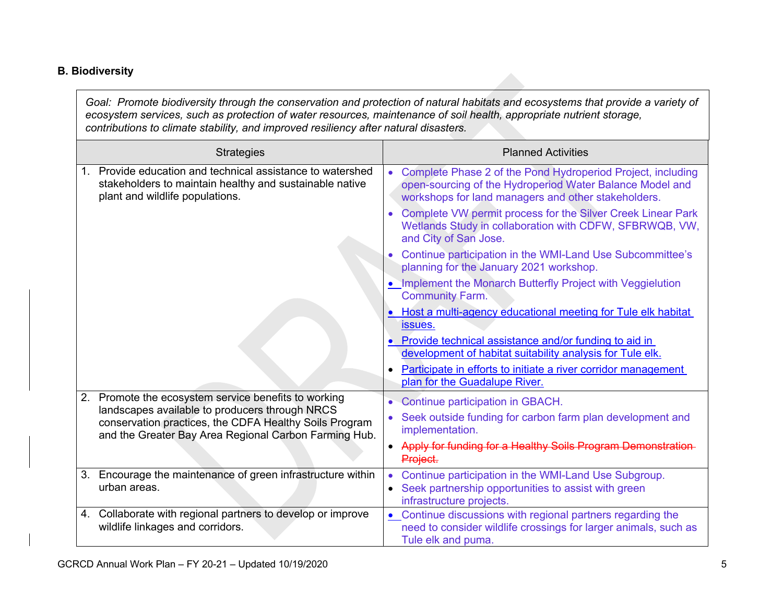#### **B. Biodiversity**

*Goal: Promote biodiversity through the conservation and protection of natural habitats and ecosystems that provide a variety of ecosystem services, such as protection of water resources, maintenance of soil health, appropriate nutrient storage, contributions to climate stability, and improved resiliency after natural disasters.* 

| <b>Strategies</b>                                                                                                                                                 | <b>Planned Activities</b>                                                                                                                                                      |
|-------------------------------------------------------------------------------------------------------------------------------------------------------------------|--------------------------------------------------------------------------------------------------------------------------------------------------------------------------------|
| 1. Provide education and technical assistance to watershed<br>stakeholders to maintain healthy and sustainable native<br>plant and wildlife populations.          | Complete Phase 2 of the Pond Hydroperiod Project, including<br>open-sourcing of the Hydroperiod Water Balance Model and<br>workshops for land managers and other stakeholders. |
|                                                                                                                                                                   | Complete VW permit process for the Silver Creek Linear Park<br>Wetlands Study in collaboration with CDFW, SFBRWQB, VW,<br>and City of San Jose.                                |
|                                                                                                                                                                   | Continue participation in the WMI-Land Use Subcommittee's<br>planning for the January 2021 workshop.                                                                           |
|                                                                                                                                                                   | • Implement the Monarch Butterfly Project with Veggielution<br><b>Community Farm.</b>                                                                                          |
|                                                                                                                                                                   | Host a multi-agency educational meeting for Tule elk habitat<br>$\bullet$<br>issues.                                                                                           |
|                                                                                                                                                                   | Provide technical assistance and/or funding to aid in<br>development of habitat suitability analysis for Tule elk.                                                             |
|                                                                                                                                                                   | Participate in efforts to initiate a river corridor management<br>$\bullet$<br>plan for the Guadalupe River.                                                                   |
| 2. Promote the ecosystem service benefits to working                                                                                                              | Continue participation in GBACH.<br>$\bullet$                                                                                                                                  |
| landscapes available to producers through NRCS<br>conservation practices, the CDFA Healthy Soils Program<br>and the Greater Bay Area Regional Carbon Farming Hub. | Seek outside funding for carbon farm plan development and<br>implementation.                                                                                                   |
|                                                                                                                                                                   | • Apply for funding for a Healthy Soils Program Demonstration-<br>Project.                                                                                                     |
| 3. Encourage the maintenance of green infrastructure within<br>urban areas.                                                                                       | Continue participation in the WMI-Land Use Subgroup.<br>$\bullet$<br>Seek partnership opportunities to assist with green<br>$\bullet$<br>infrastructure projects.              |
| 4. Collaborate with regional partners to develop or improve<br>wildlife linkages and corridors.                                                                   | Continue discussions with regional partners regarding the<br>need to consider wildlife crossings for larger animals, such as<br>Tule elk and puma.                             |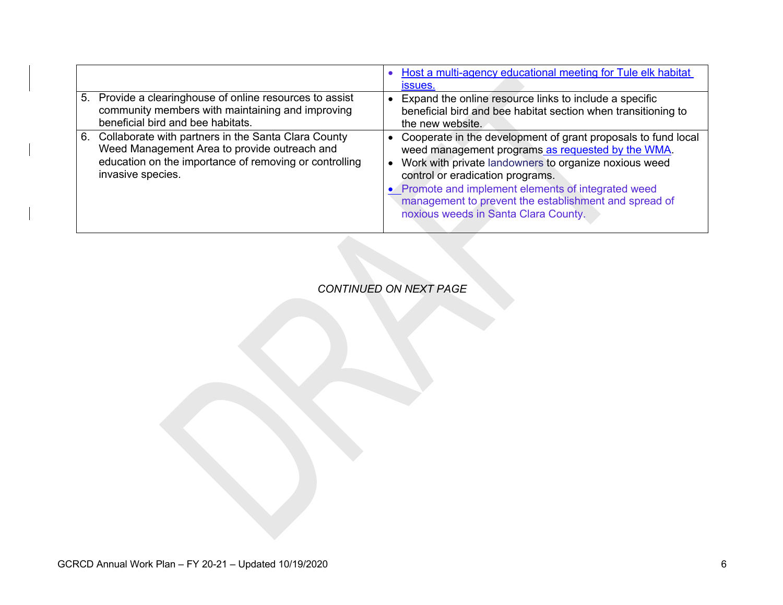|                                                                                                                                                                                       | Host a multi-agency educational meeting for Tule elk habitat<br><i>issues.</i>                                                                                                                                                                                                                                                                                          |
|---------------------------------------------------------------------------------------------------------------------------------------------------------------------------------------|-------------------------------------------------------------------------------------------------------------------------------------------------------------------------------------------------------------------------------------------------------------------------------------------------------------------------------------------------------------------------|
| 5. Provide a clearinghouse of online resources to assist<br>community members with maintaining and improving<br>beneficial bird and bee habitats.                                     | Expand the online resource links to include a specific<br>beneficial bird and bee habitat section when transitioning to<br>the new website.                                                                                                                                                                                                                             |
| 6. Collaborate with partners in the Santa Clara County<br>Weed Management Area to provide outreach and<br>education on the importance of removing or controlling<br>invasive species. | Cooperate in the development of grant proposals to fund local<br>weed management programs as requested by the WMA.<br>Work with private landowners to organize noxious weed<br>control or eradication programs.<br>• Promote and implement elements of integrated weed<br>management to prevent the establishment and spread of<br>noxious weeds in Santa Clara County. |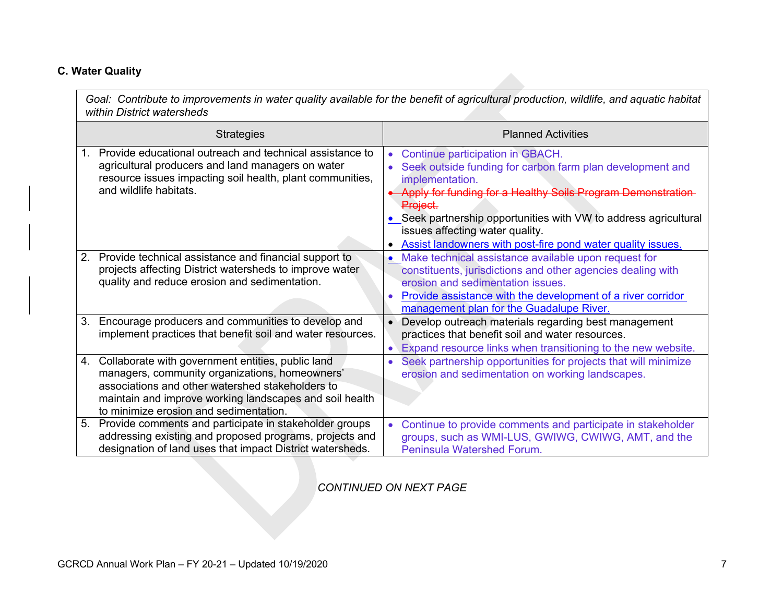#### **C. Water Quality**

*Goal: Contribute to improvements in water quality available for the benefit of agricultural production, wildlife, and aquatic habitat within District watersheds*

|    | <b>Strategies</b>                                                                                                                                                                                                                                            | <b>Planned Activities</b>                                                                                                                                                                                                                                                                                                                                                                              |
|----|--------------------------------------------------------------------------------------------------------------------------------------------------------------------------------------------------------------------------------------------------------------|--------------------------------------------------------------------------------------------------------------------------------------------------------------------------------------------------------------------------------------------------------------------------------------------------------------------------------------------------------------------------------------------------------|
|    | Provide educational outreach and technical assistance to<br>agricultural producers and land managers on water<br>resource issues impacting soil health, plant communities,<br>and wildlife habitats.                                                         | Continue participation in GBACH.<br>$\bullet$<br>Seek outside funding for carbon farm plan development and<br>$\bullet$<br>implementation.<br>Apply for funding for a Healthy Soils Program Demonstration<br><del>Proiect.</del><br>• Seek partnership opportunities with VW to address agricultural<br>issues affecting water quality.<br>Assist landowners with post-fire pond water quality issues. |
| 2. | Provide technical assistance and financial support to<br>projects affecting District watersheds to improve water<br>quality and reduce erosion and sedimentation.                                                                                            | Make technical assistance available upon request for<br>constituents, jurisdictions and other agencies dealing with<br>erosion and sedimentation issues.<br>Provide assistance with the development of a river corridor<br>management plan for the Guadalupe River.                                                                                                                                    |
| 3. | Encourage producers and communities to develop and<br>implement practices that benefit soil and water resources.                                                                                                                                             | Develop outreach materials regarding best management<br>practices that benefit soil and water resources.<br>Expand resource links when transitioning to the new website.                                                                                                                                                                                                                               |
| 4. | Collaborate with government entities, public land<br>managers, community organizations, homeowners'<br>associations and other watershed stakeholders to<br>maintain and improve working landscapes and soil health<br>to minimize erosion and sedimentation. | Seek partnership opportunities for projects that will minimize<br>erosion and sedimentation on working landscapes.                                                                                                                                                                                                                                                                                     |
| 5. | Provide comments and participate in stakeholder groups<br>addressing existing and proposed programs, projects and<br>designation of land uses that impact District watersheds.                                                                               | Continue to provide comments and participate in stakeholder<br>groups, such as WMI-LUS, GWIWG, CWIWG, AMT, and the<br>Peninsula Watershed Forum.                                                                                                                                                                                                                                                       |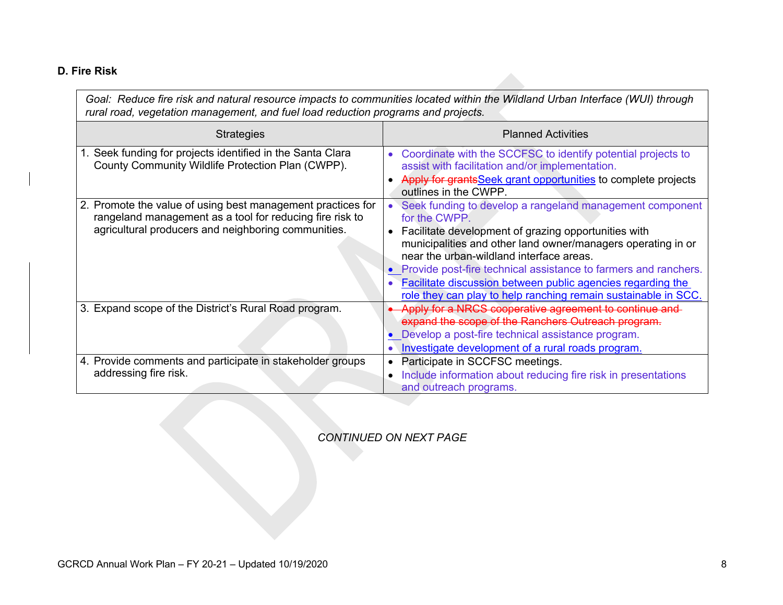#### **D. Fire Risk**

| Goal: Reduce fire risk and natural resource impacts to communities located within the Wildland Urban Interface (WUI) through<br>rural road, vegetation management, and fuel load reduction programs and projects. |                                                                                                                                                                                                                                                                                                                                                                                                                                                     |
|-------------------------------------------------------------------------------------------------------------------------------------------------------------------------------------------------------------------|-----------------------------------------------------------------------------------------------------------------------------------------------------------------------------------------------------------------------------------------------------------------------------------------------------------------------------------------------------------------------------------------------------------------------------------------------------|
| <b>Strategies</b>                                                                                                                                                                                                 | <b>Planned Activities</b>                                                                                                                                                                                                                                                                                                                                                                                                                           |
| 1. Seek funding for projects identified in the Santa Clara<br>County Community Wildlife Protection Plan (CWPP).                                                                                                   | Coordinate with the SCCFSC to identify potential projects to<br>assist with facilitation and/or implementation.<br>Apply for grantsSeek grant opportunities to complete projects<br>outlines in the CWPP.                                                                                                                                                                                                                                           |
| 2. Promote the value of using best management practices for<br>rangeland management as a tool for reducing fire risk to<br>agricultural producers and neighboring communities.                                    | Seek funding to develop a rangeland management component<br>for the CWPP.<br>Facilitate development of grazing opportunities with<br>municipalities and other land owner/managers operating in or<br>near the urban-wildland interface areas.<br>• Provide post-fire technical assistance to farmers and ranchers.<br>Facilitate discussion between public agencies regarding the<br>role they can play to help ranching remain sustainable in SCC. |
| 3. Expand scope of the District's Rural Road program.                                                                                                                                                             | Apply for a NRCS cooperative agreement to continue and<br>expand the scope of the Ranchers Outreach program.<br>• Develop a post-fire technical assistance program.<br>Investigate development of a rural roads program.                                                                                                                                                                                                                            |
| 4. Provide comments and participate in stakeholder groups<br>addressing fire risk.                                                                                                                                | Participate in SCCFSC meetings.<br>Include information about reducing fire risk in presentations<br>and outreach programs.                                                                                                                                                                                                                                                                                                                          |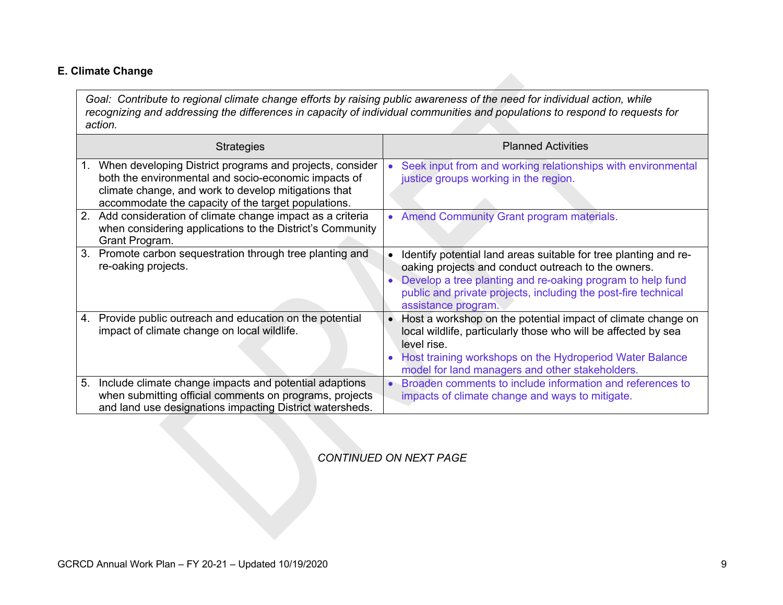#### **E. Climate Change**

*Goal: Contribute to regional climate change efforts by raising public awareness of the need for individual action, while recognizing and addressing the differences in capacity of individual communities and populations to respond to requests for action.*

| <b>Strategies</b>                                                                                                                                                                                                                     | <b>Planned Activities</b>                                                                                                                                                                                                                                                      |
|---------------------------------------------------------------------------------------------------------------------------------------------------------------------------------------------------------------------------------------|--------------------------------------------------------------------------------------------------------------------------------------------------------------------------------------------------------------------------------------------------------------------------------|
| When developing District programs and projects, consider<br>1.<br>both the environmental and socio-economic impacts of<br>climate change, and work to develop mitigations that<br>accommodate the capacity of the target populations. | Seek input from and working relationships with environmental<br>$\bullet$<br>justice groups working in the region.                                                                                                                                                             |
| Add consideration of climate change impact as a criteria<br>2.<br>when considering applications to the District's Community<br>Grant Program.                                                                                         | <b>Amend Community Grant program materials.</b><br>$\bullet$                                                                                                                                                                                                                   |
| Promote carbon sequestration through tree planting and<br>3.<br>re-oaking projects.                                                                                                                                                   | Identify potential land areas suitable for tree planting and re-<br>oaking projects and conduct outreach to the owners.<br>Develop a tree planting and re-oaking program to help fund<br>public and private projects, including the post-fire technical<br>assistance program. |
| Provide public outreach and education on the potential<br>4.<br>impact of climate change on local wildlife.                                                                                                                           | Host a workshop on the potential impact of climate change on<br>local wildlife, particularly those who will be affected by sea<br>level rise.<br>Host training workshops on the Hydroperiod Water Balance<br>$\bullet$<br>model for land managers and other stakeholders.      |
| 5.<br>Include climate change impacts and potential adaptions<br>when submitting official comments on programs, projects<br>and land use designations impacting District watersheds.                                                   | Broaden comments to include information and references to<br>impacts of climate change and ways to mitigate.                                                                                                                                                                   |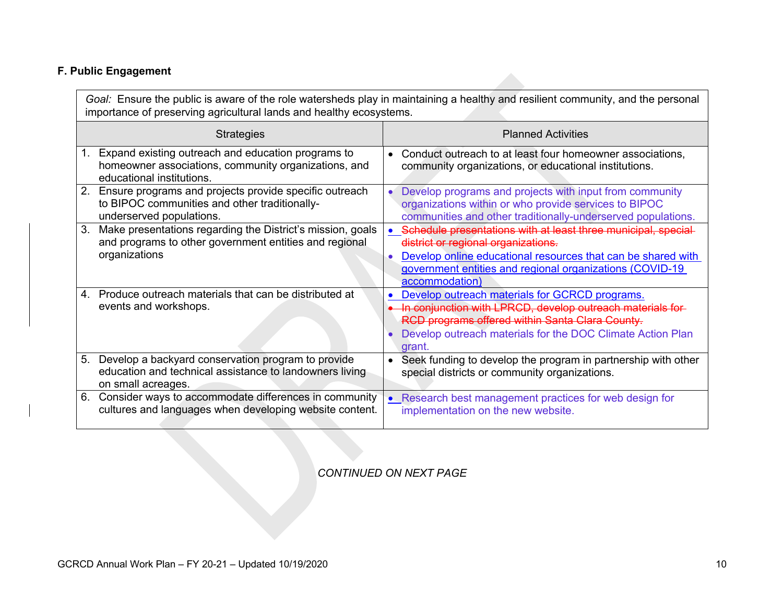### **F. Public Engagement**

| Goal: Ensure the public is aware of the role watersheds play in maintaining a healthy and resilient community, and the personal<br>importance of preserving agricultural lands and healthy ecosystems. |                                                                                                                                            |                                                                                                                                                                                                                                                    |
|--------------------------------------------------------------------------------------------------------------------------------------------------------------------------------------------------------|--------------------------------------------------------------------------------------------------------------------------------------------|----------------------------------------------------------------------------------------------------------------------------------------------------------------------------------------------------------------------------------------------------|
| <b>Strategies</b>                                                                                                                                                                                      |                                                                                                                                            | <b>Planned Activities</b>                                                                                                                                                                                                                          |
|                                                                                                                                                                                                        | 1. Expand existing outreach and education programs to<br>homeowner associations, community organizations, and<br>educational institutions. | Conduct outreach to at least four homeowner associations,<br>community organizations, or educational institutions.                                                                                                                                 |
|                                                                                                                                                                                                        | 2. Ensure programs and projects provide specific outreach<br>to BIPOC communities and other traditionally-<br>underserved populations.     | Develop programs and projects with input from community<br>organizations within or who provide services to BIPOC<br>communities and other traditionally-underserved populations.                                                                   |
| 3.                                                                                                                                                                                                     | Make presentations regarding the District's mission, goals<br>and programs to other government entities and regional<br>organizations      | Schedule presentations with at least three municipal, special<br>district or regional organizations.<br>Develop online educational resources that can be shared with<br>government entities and regional organizations (COVID-19<br>accommodation) |
|                                                                                                                                                                                                        | 4. Produce outreach materials that can be distributed at<br>events and workshops.                                                          | Develop outreach materials for GCRCD programs.<br>In conjunction with LPRCD, develop outreach materials for-<br>RCD programs offered within Santa Clara County.<br>Develop outreach materials for the DOC Climate Action Plan<br>grant.            |
|                                                                                                                                                                                                        | 5. Develop a backyard conservation program to provide<br>education and technical assistance to landowners living<br>on small acreages.     | Seek funding to develop the program in partnership with other<br>$\bullet$<br>special districts or community organizations.                                                                                                                        |
| 6.                                                                                                                                                                                                     | Consider ways to accommodate differences in community<br>cultures and languages when developing website content.                           | Research best management practices for web design for<br>implementation on the new website.                                                                                                                                                        |